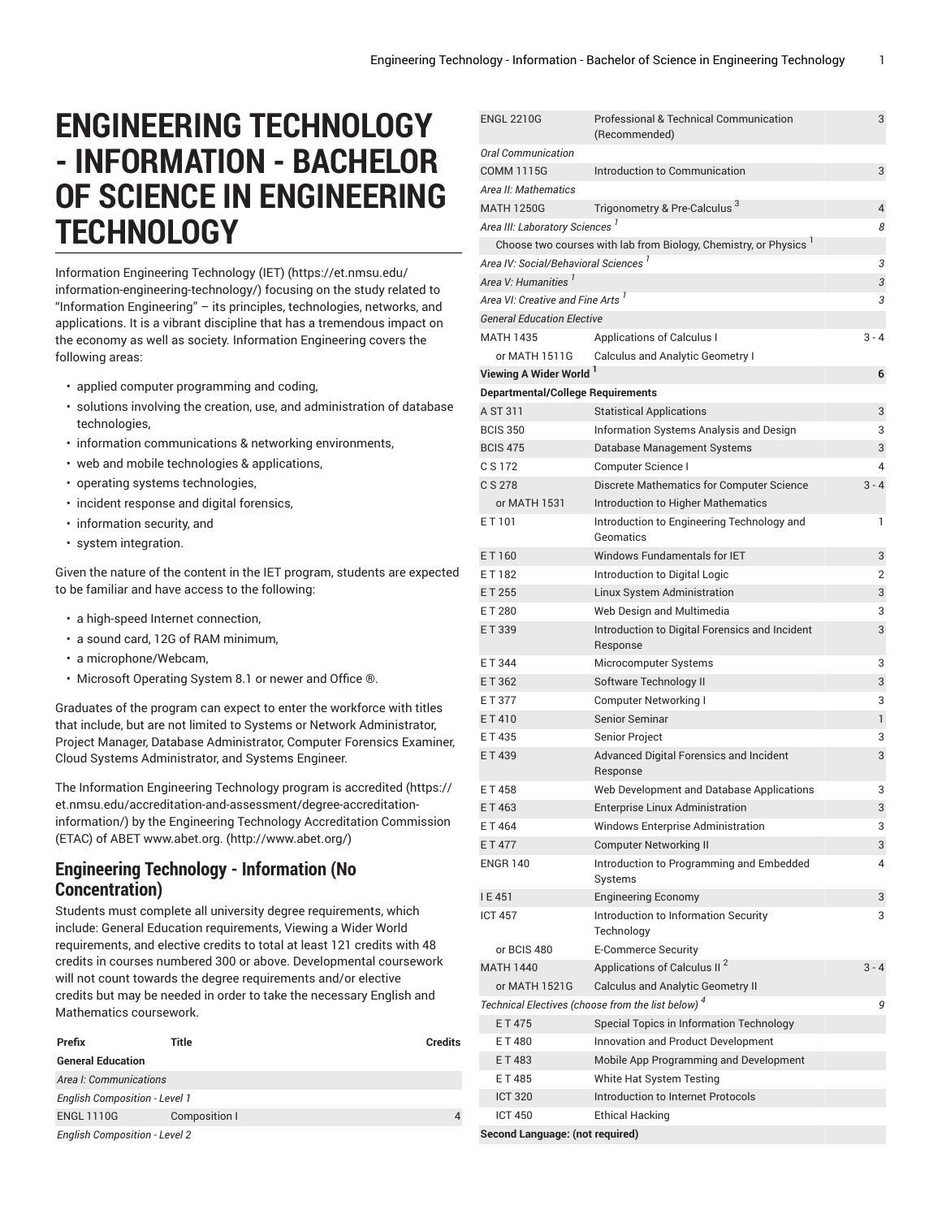## **ENGINEERING TECHNOLOGY - INFORMATION - BACHELOR OF SCIENCE IN ENGINEERING TECHNOLOGY**

Information [Engineering](https://et.nmsu.edu/information-engineering-technology/) Technology (IET) ([https://et.nmsu.edu/](https://et.nmsu.edu/information-engineering-technology/) [information-engineering-technology/\)](https://et.nmsu.edu/information-engineering-technology/) focusing on the study related to "Information Engineering" – its principles, technologies, networks, and applications. It is a vibrant discipline that has a tremendous impact on the economy as well as society. Information Engineering covers the following areas:

- applied computer programming and coding,
- solutions involving the creation, use, and administration of database technologies,
- information communications & networking environments,
- web and mobile technologies & applications,
- operating systems technologies,
- incident response and digital forensics,
- information security, and
- system integration.

Given the nature of the content in the IET program, students are expected to be familiar and have access to the following:

- a high-speed Internet connection,
- a sound card, 12G of RAM minimum,
- a microphone/Webcam,
- Microsoft Operating System 8.1 or newer and Office ®.

Graduates of the program can expect to enter the workforce with titles that include, but are not limited to Systems or Network Administrator, Project Manager, Database Administrator, Computer Forensics Examiner, Cloud Systems Administrator, and Systems Engineer.

The Information Engineering Technology program is [accredited](https://et.nmsu.edu/accreditation-and-assessment/degree-accreditation-information/) ([https://](https://et.nmsu.edu/accreditation-and-assessment/degree-accreditation-information/) [et.nmsu.edu/accreditation-and-assessment/degree-accreditation](https://et.nmsu.edu/accreditation-and-assessment/degree-accreditation-information/)[information/](https://et.nmsu.edu/accreditation-and-assessment/degree-accreditation-information/)) by the Engineering Technology Accreditation Commission (ETAC) of ABET [www.abet.org.](http://www.abet.org/) (<http://www.abet.org/>)

## **Engineering Technology - Information (No Concentration)**

Students must complete all university degree requirements, which include: General Education requirements, Viewing a Wider World requirements, and elective credits to total at least 121 credits with 48 credits in courses numbered 300 or above. Developmental coursework will not count towards the degree requirements and/or elective credits but may be needed in order to take the necessary English and Mathematics coursework.

| Prefix                               | Title         | <b>Credits</b> |
|--------------------------------------|---------------|----------------|
| <b>General Education</b>             |               |                |
| Area I: Communications               |               |                |
| <b>English Composition - Level 1</b> |               |                |
| <b>ENGL 1110G</b>                    | Composition I | 4              |
| <b>English Composition - Level 2</b> |               |                |

| <b>ENGL 2210G</b>                                             | Professional & Technical Communication<br>(Recommended)         | 3       |
|---------------------------------------------------------------|-----------------------------------------------------------------|---------|
| <b>Oral Communication</b>                                     |                                                                 |         |
| <b>COMM 1115G</b>                                             | Introduction to Communication                                   | 3       |
| Area II: Mathematics                                          |                                                                 |         |
| <b>MATH 1250G</b>                                             | Trigonometry & Pre-Calculus <sup>3</sup>                        | 4       |
| Area III: Laboratory Sciences <sup>1</sup>                    |                                                                 | 8       |
|                                                               | Choose two courses with lab from Biology, Chemistry, or Physics |         |
| Area IV: Social/Behavioral Sciences '                         |                                                                 | 3       |
| Area V: Humanities <sup>1</sup>                               |                                                                 | 3       |
| Area VI: Creative and Fine Arts <sup>1</sup>                  |                                                                 | 3       |
| <b>General Education Elective</b>                             |                                                                 |         |
| <b>MATH 1435</b>                                              | Applications of Calculus I                                      | $3 - 4$ |
| or MATH 1511G                                                 | <b>Calculus and Analytic Geometry I</b>                         |         |
| Viewing A Wider World                                         |                                                                 | 6       |
| <b>Departmental/College Requirements</b>                      |                                                                 |         |
| A ST 311                                                      | <b>Statistical Applications</b>                                 | 3       |
| <b>BCIS 350</b>                                               | Information Systems Analysis and Design                         | 3       |
| <b>BCIS 475</b>                                               | Database Management Systems                                     | 3       |
| C S 172                                                       | Computer Science I                                              | 4       |
| C S 278                                                       | Discrete Mathematics for Computer Science                       | $3 - 4$ |
| or MATH 1531                                                  | Introduction to Higher Mathematics                              |         |
| ET101                                                         | Introduction to Engineering Technology and<br>Geomatics         | 1       |
| ET160                                                         | Windows Fundamentals for IET                                    | 3       |
| ET182                                                         | Introduction to Digital Logic                                   | 2       |
| ET 255                                                        | Linux System Administration                                     | 3       |
| ET 280                                                        | Web Design and Multimedia                                       | 3       |
| ET 339                                                        | Introduction to Digital Forensics and Incident<br>Response      | 3       |
| ET 344                                                        | Microcomputer Systems                                           | 3       |
| ET 362                                                        | Software Technology II                                          | 3       |
| ET 377                                                        | Computer Networking I                                           | 3       |
| ET410                                                         | Senior Seminar                                                  | 1       |
| ET435                                                         | Senior Project                                                  | 3       |
| ET439                                                         | Advanced Digital Forensics and Incident<br>Response             | 3       |
| ET458                                                         | Web Development and Database Applications                       | 3       |
| ET463                                                         | <b>Enterprise Linux Administration</b>                          | 3       |
| ET464                                                         | Windows Enterprise Administration                               | 3       |
| ET 477                                                        | <b>Computer Networking II</b>                                   | 3       |
| <b>ENGR 140</b>                                               | Introduction to Programming and Embedded<br>Systems             | 4       |
| IE451                                                         | <b>Engineering Economy</b>                                      | 3       |
| <b>ICT 457</b>                                                | Introduction to Information Security<br>Technology              | 3       |
| or BCIS 480                                                   | <b>E-Commerce Security</b>                                      |         |
| <b>MATH 1440</b>                                              | Applications of Calculus II <sup>2</sup>                        | $3 - 4$ |
| or MATH 1521G                                                 | <b>Calculus and Analytic Geometry II</b>                        |         |
| Technical Electives (choose from the list below) <sup>4</sup> |                                                                 | 9       |
| ET 475                                                        | Special Topics in Information Technology                        |         |
| ET480                                                         | Innovation and Product Development                              |         |
| ET483                                                         | Mobile App Programming and Development                          |         |
| ET485                                                         | White Hat System Testing                                        |         |
| <b>ICT 320</b>                                                | Introduction to Internet Protocols                              |         |
| <b>ICT 450</b>                                                | <b>Ethical Hacking</b>                                          |         |
| Second Language: (not required)                               |                                                                 |         |